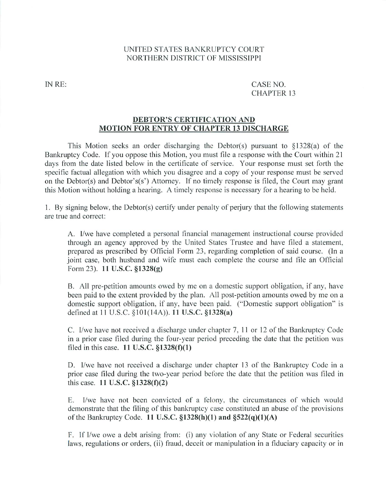## UNITED STATES BANKRUPTCY COURT NORTHERN DISTRICT OF MISSISSIPPI

IN RE: CASE NO. CHAPTER <sup>13</sup>

## DEBTOR'S CERTIFICATION AND MOTION FOR ENTRY OF CHAPTER <sup>13</sup> DISCHARGE

This Motion seeks an order discharging the Debtor(s) pursuant to §1328(a) of the Bankruptcy Code. If you oppose this Motion, you must file a response with the Court within 21 days from the date listed below in the certificate of service. Your response must set forth the specific factual allegation with which you disagree and a copy of your response must be served on the Debtor(s) and Debtor's(s') Attorney. If no timely response is filed, the Court may grant this Motion without holding a hearing. A timely response is necessary for a hearing to be held.

1, By signing below, the Deblor(s) certify under penalty of perjury that the following statements are true and correct:

A. I/we have completed a personal financial management instructional course provided through an agency approved by the United States Trustee and have filed a statement. prepared as prescribed by Official Form 23, regarding completion of said course. (In joint case, both husband and wife must each complete the course and file an Official Form 23). II U.S.C. §1328(g)

B. All pre-petition amounts owed by me on a domestic support obligation, if any, have been paid to the extent provided by the plan. All post-petition amounts owed by me on a domestic support obligation, if any. have been paid. ("Domestic support obligation" is defined at 11 U.S.C. §101(14A)). 11 U.S.C. §1328(a)

C. I/we have not received a discharge under chapter 7, 11 or 12 of the Bankruptcy Code in a prior case filed during the four-year period preceding the date that the petition was filed in this case.  $11$  U.S.C.  $\S 1328(f)(1)$ 

D. I/we have not received a discharge under chapter 13 of the Bankruptcy Code in a prior ease filed during the two-year period before the date that the petition was filed in this case. 11 U.S.C. §1328(f)(2)

E. I/we have not been convicted of a felony, the circumstances of which would demonstrate that the filing of this bankruptcy case constituted an abuse of the provisions of the Bankruptcy Code. 11 U.S.C.  $$1328(h)(1)$  and  $$522(q)(1)(A)$ 

F. If I/we owe debt arising from: (i) any violation of any State or Federal securities laws, regulations or orders, (ii) fraud, deceit or manipulation in a fiduciary capacity or in